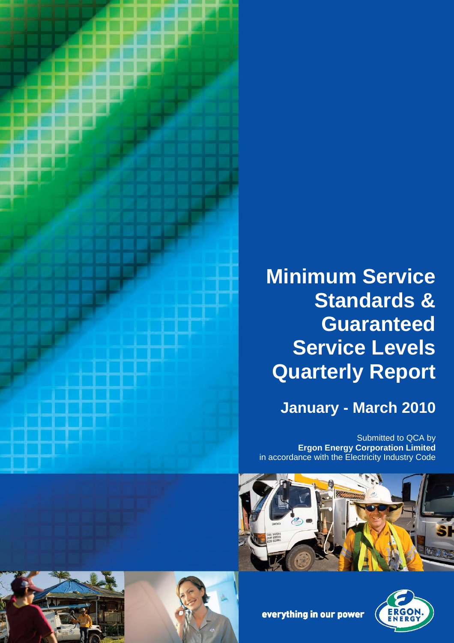

# **Minimum Service Standards & Guaranteed Service Levels Quarterly Report**

# **January - March 2010**

Submitted to QCA by **Ergon Energy Corporation Limited** in accordance with the Electricity Industry Code









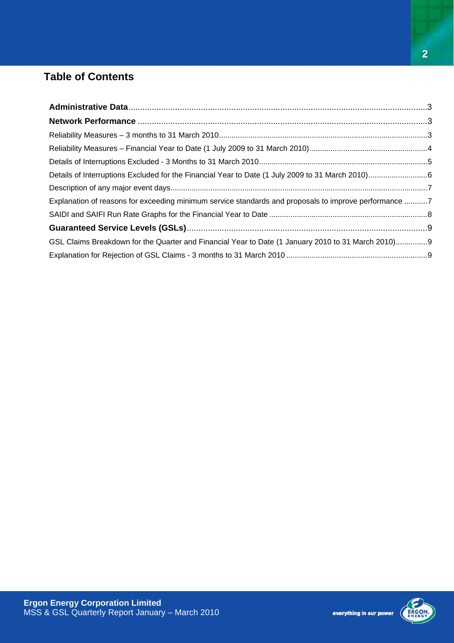## **Table of Contents**

| Explanation of reasons for exceeding minimum service standards and proposals to improve performance 7 |  |
|-------------------------------------------------------------------------------------------------------|--|
|                                                                                                       |  |
|                                                                                                       |  |
| GSL Claims Breakdown for the Quarter and Financial Year to Date (1 January 2010 to 31 March 2010)9    |  |
|                                                                                                       |  |

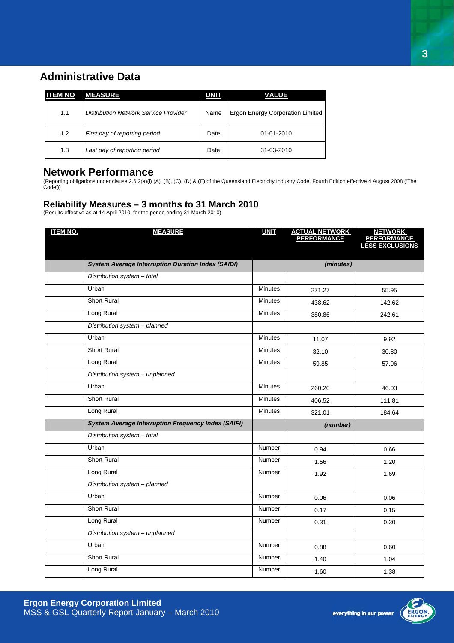### **Administrative Data**

| <b>ITEM NO</b> | <b>MEASURE</b>                        | <b>UNIT</b> | <b>VALUE</b>                            |
|----------------|---------------------------------------|-------------|-----------------------------------------|
| 1.1            | Distribution Network Service Provider | Name        | <b>Ergon Energy Corporation Limited</b> |
| 1.2            | First day of reporting period         | Date        | $01 - 01 - 2010$                        |
| 1.3            | Last day of reporting period          | Date        | 31-03-2010                              |

#### **Network Performance**

(Reporting obligations under clause 2.6.2(a)(i) (A), (B), (C), (D) & (E) of the Queensland Electricity Industry Code, Fourth Edition effective 4 August 2008 ('The Code'))

#### **Reliability Measures – 3 months to 31 March 2010**

(Results effective as at 14 April 2010, for the period ending 31 March 2010)

| <b>ITEM NO.</b> | <b>MEASURE</b>                                             | <b>UNIT</b>    | <b>ACTUAL NETWORK<br/>PERFORMANCE</b> | <b>NETWORK</b><br><b>PERFORMANCE</b><br><b>LESS EXCLUSIONS</b> |
|-----------------|------------------------------------------------------------|----------------|---------------------------------------|----------------------------------------------------------------|
|                 |                                                            |                |                                       |                                                                |
|                 | <b>System Average Interruption Duration Index (SAIDI)</b>  |                | (minutes)                             |                                                                |
|                 | Distribution system - total                                |                |                                       |                                                                |
|                 | Urban                                                      | <b>Minutes</b> | 271.27                                | 55.95                                                          |
|                 | <b>Short Rural</b>                                         | <b>Minutes</b> | 438.62                                | 142.62                                                         |
|                 | Long Rural                                                 | <b>Minutes</b> | 380.86                                | 242.61                                                         |
|                 | Distribution system - planned                              |                |                                       |                                                                |
|                 | Urban                                                      | <b>Minutes</b> | 11.07                                 | 9.92                                                           |
|                 | <b>Short Rural</b>                                         | <b>Minutes</b> | 32.10                                 | 30.80                                                          |
|                 | Long Rural                                                 | <b>Minutes</b> | 59.85                                 | 57.96                                                          |
|                 | Distribution system - unplanned                            |                |                                       |                                                                |
|                 | Urban                                                      | <b>Minutes</b> | 260.20                                | 46.03                                                          |
|                 | Short Rural                                                | <b>Minutes</b> | 406.52                                | 111.81                                                         |
|                 | Long Rural                                                 | <b>Minutes</b> | 321.01                                | 184.64                                                         |
|                 | <b>System Average Interruption Frequency Index (SAIFI)</b> | (number)       |                                       |                                                                |
|                 | Distribution system - total                                |                |                                       |                                                                |
|                 | Urban                                                      | Number         | 0.94                                  | 0.66                                                           |
|                 | <b>Short Rural</b>                                         | <b>Number</b>  | 1.56                                  | 1.20                                                           |
|                 | Long Rural                                                 | Number         | 1.92                                  | 1.69                                                           |
|                 | Distribution system - planned                              |                |                                       |                                                                |
|                 | Urban                                                      | <b>Number</b>  | 0.06                                  | 0.06                                                           |
|                 | <b>Short Rural</b>                                         | Number         | 0.17                                  | 0.15                                                           |
|                 | Long Rural                                                 | Number         | 0.31                                  | 0.30                                                           |
|                 | Distribution system - unplanned                            |                |                                       |                                                                |
|                 | Urban                                                      | Number         | 0.88                                  | 0.60                                                           |
|                 | <b>Short Rural</b>                                         | Number         | 1.40                                  | 1.04                                                           |
|                 | Long Rural                                                 | Number         | 1.60                                  | 1.38                                                           |



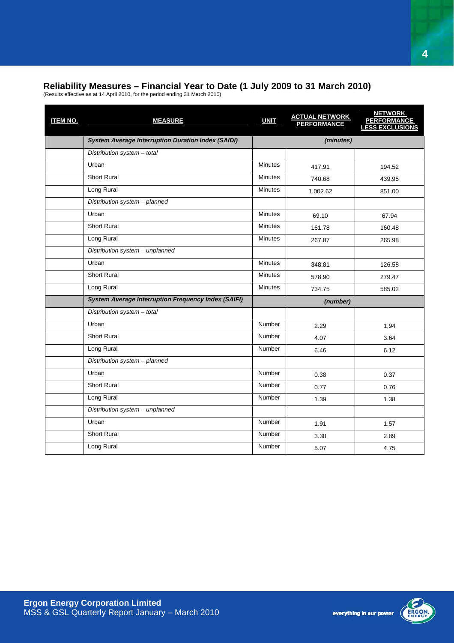#### **Reliability Measures – Financial Year to Date (1 July 2009 to 31 March 2010)**

(Results effective as at 14 April 2010, for the period ending 31 March 2010)

| <b>ITEM NO.</b> | <b>MEASURE</b>                                             | <b>UNIT</b>    | <b>ACTUAL NETWORK<br/>PERFORMANCE</b> | <b>NETWORK</b><br><b>PERFORMANCE</b><br><b>LESS EXCLUSIONS</b> |
|-----------------|------------------------------------------------------------|----------------|---------------------------------------|----------------------------------------------------------------|
|                 | <b>System Average Interruption Duration Index (SAIDI)</b>  |                | (minutes)                             |                                                                |
|                 | Distribution system - total                                |                |                                       |                                                                |
|                 | Urban                                                      | <b>Minutes</b> | 417.91                                | 194.52                                                         |
|                 | <b>Short Rural</b>                                         | <b>Minutes</b> | 740.68                                | 439.95                                                         |
|                 | Long Rural                                                 | <b>Minutes</b> | 1,002.62                              | 851.00                                                         |
|                 | Distribution system - planned                              |                |                                       |                                                                |
|                 | Urban                                                      | <b>Minutes</b> | 69.10                                 | 67.94                                                          |
|                 | <b>Short Rural</b>                                         | <b>Minutes</b> | 161.78                                | 160.48                                                         |
|                 | Long Rural                                                 | <b>Minutes</b> | 267.87                                | 265.98                                                         |
|                 | Distribution system - unplanned                            |                |                                       |                                                                |
|                 | Urban                                                      | <b>Minutes</b> | 348.81                                | 126.58                                                         |
|                 | <b>Short Rural</b>                                         | <b>Minutes</b> | 578.90                                | 279.47                                                         |
|                 | Long Rural                                                 | <b>Minutes</b> | 734.75                                | 585.02                                                         |
|                 | <b>System Average Interruption Frequency Index (SAIFI)</b> |                | (number)                              |                                                                |
|                 | Distribution system - total                                |                |                                       |                                                                |
|                 | Urban                                                      | <b>Number</b>  | 2.29                                  | 1.94                                                           |
|                 | <b>Short Rural</b>                                         | <b>Number</b>  | 4.07                                  | 3.64                                                           |
|                 | Long Rural                                                 | Number         | 6.46                                  | 6.12                                                           |
|                 | Distribution system - planned                              |                |                                       |                                                                |
|                 | Urban                                                      | <b>Number</b>  | 0.38                                  | 0.37                                                           |
|                 | <b>Short Rural</b>                                         | Number         | 0.77                                  | 0.76                                                           |
|                 | Long Rural                                                 | <b>Number</b>  | 1.39                                  | 1.38                                                           |
|                 | Distribution system - unplanned                            |                |                                       |                                                                |
|                 | Urban                                                      | <b>Number</b>  | 1.91                                  | 1.57                                                           |
|                 | Short Rural                                                | <b>Number</b>  | 3.30                                  | 2.89                                                           |
|                 | Long Rural                                                 | Number         | 5.07                                  | 4.75                                                           |

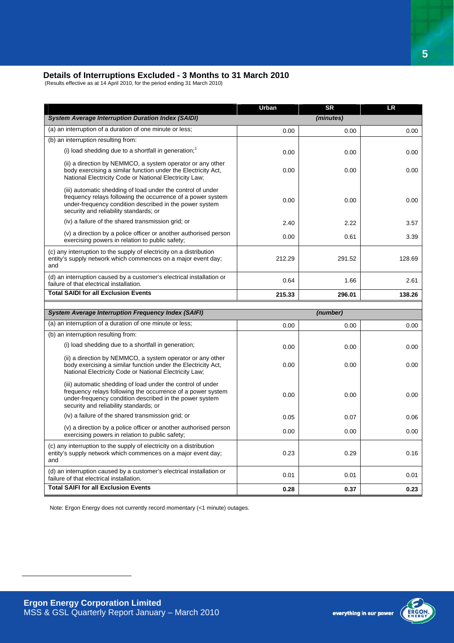#### **Details of Interruptions Excluded - 3 Months to 31 March 2010**

(Results effective as at 14 April 2010, for the period ending 31 March 2010)

|                                                                                                                                                                                                                                 | Urban  | <b>SR</b> | <b>LR</b> |
|---------------------------------------------------------------------------------------------------------------------------------------------------------------------------------------------------------------------------------|--------|-----------|-----------|
| <b>System Average Interruption Duration Index (SAIDI)</b>                                                                                                                                                                       |        | (minutes) |           |
| (a) an interruption of a duration of one minute or less;                                                                                                                                                                        | 0.00   | 0.00      | 0.00      |
| (b) an interruption resulting from:                                                                                                                                                                                             |        |           |           |
| (i) load shedding due to a shortfall in generation; $1$                                                                                                                                                                         | 0.00   | 0.00      | 0.00      |
| (ii) a direction by NEMMCO, a system operator or any other<br>body exercising a similar function under the Electricity Act,<br>National Electricity Code or National Electricity Law;                                           | 0.00   | 0.00      | 0.00      |
| (iii) automatic shedding of load under the control of under<br>frequency relays following the occurrence of a power system<br>under-frequency condition described in the power system<br>security and reliability standards; or | 0.00   | 0.00      | 0.00      |
| (iv) a failure of the shared transmission grid; or                                                                                                                                                                              | 2.40   | 2.22      | 3.57      |
| (v) a direction by a police officer or another authorised person<br>exercising powers in relation to public safety;                                                                                                             | 0.00   | 0.61      | 3.39      |
| (c) any interruption to the supply of electricity on a distribution<br>entity's supply network which commences on a major event day;<br>and                                                                                     | 212.29 | 291.52    | 128.69    |
| (d) an interruption caused by a customer's electrical installation or<br>failure of that electrical installation.                                                                                                               | 0.64   | 1.66      | 2.61      |
| <b>Total SAIDI for all Exclusion Events</b>                                                                                                                                                                                     | 215.33 | 296.01    | 138.26    |
|                                                                                                                                                                                                                                 |        |           |           |
|                                                                                                                                                                                                                                 |        |           |           |
| <b>System Average Interruption Frequency Index (SAIFI)</b>                                                                                                                                                                      |        | (number)  |           |
| (a) an interruption of a duration of one minute or less;                                                                                                                                                                        | 0.00   | 0.00      | 0.00      |
| (b) an interruption resulting from:<br>(i) load shedding due to a shortfall in generation;                                                                                                                                      | 0.00   | 0.00      | 0.00      |
| (ii) a direction by NEMMCO, a system operator or any other<br>body exercising a similar function under the Electricity Act,<br>National Electricity Code or National Electricity Law;                                           | 0.00   | 0.00      | 0.00      |
| (iii) automatic shedding of load under the control of under<br>frequency relays following the occurrence of a power system<br>under-frequency condition described in the power system<br>security and reliability standards; or | 0.00   | 0.00      | 0.00      |
| (iv) a failure of the shared transmission grid; or                                                                                                                                                                              | 0.05   | 0.07      | 0.06      |
| (v) a direction by a police officer or another authorised person<br>exercising powers in relation to public safety;                                                                                                             | 0.00   | 0.00      | 0.00      |
| (c) any interruption to the supply of electricity on a distribution<br>entity's supply network which commences on a major event day;<br>and                                                                                     | 0.23   | 0.29      | 0.16      |
| (d) an interruption caused by a customer's electrical installation or<br>failure of that electrical installation.                                                                                                               | 0.01   | 0.01      | 0.01      |

Note: Ergon Energy does not currently record momentary (<1 minute) outages.

 $\overline{a}$ 

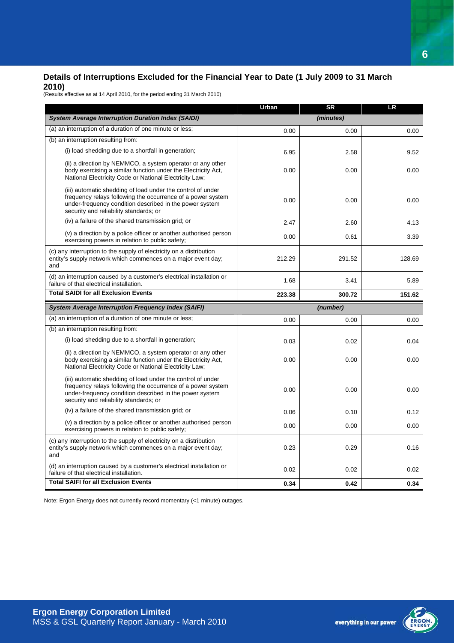#### **Details of Interruptions Excluded for the Financial Year to Date (1 July 2009 to 31 March 2010)**

(Results effective as at 14 April 2010, for the period ending 31 March 2010)

|                                                                                                                                                                                                                                 | Urban  | <b>SR</b> | LR     |
|---------------------------------------------------------------------------------------------------------------------------------------------------------------------------------------------------------------------------------|--------|-----------|--------|
| <b>System Average Interruption Duration Index (SAIDI)</b>                                                                                                                                                                       |        | (minutes) |        |
| (a) an interruption of a duration of one minute or less;                                                                                                                                                                        | 0.00   | 0.00      | 0.00   |
| (b) an interruption resulting from:                                                                                                                                                                                             |        |           |        |
| (i) load shedding due to a shortfall in generation;                                                                                                                                                                             | 6.95   | 2.58      | 9.52   |
| (ii) a direction by NEMMCO, a system operator or any other<br>body exercising a similar function under the Electricity Act,<br>National Electricity Code or National Electricity Law;                                           | 0.00   | 0.00      | 0.00   |
| (iii) automatic shedding of load under the control of under<br>frequency relays following the occurrence of a power system<br>under-frequency condition described in the power system<br>security and reliability standards; or | 0.00   | 0.00      | 0.00   |
| (iv) a failure of the shared transmission grid; or                                                                                                                                                                              | 2.47   | 2.60      | 4.13   |
| (v) a direction by a police officer or another authorised person<br>exercising powers in relation to public safety;                                                                                                             | 0.00   | 0.61      | 3.39   |
| (c) any interruption to the supply of electricity on a distribution<br>entity's supply network which commences on a major event day;<br>and                                                                                     | 212.29 | 291.52    | 128.69 |
| (d) an interruption caused by a customer's electrical installation or<br>failure of that electrical installation.                                                                                                               | 1.68   | 3.41      | 5.89   |
| <b>Total SAIDI for all Exclusion Events</b>                                                                                                                                                                                     | 223.38 | 300.72    | 151.62 |
| <b>System Average Interruption Frequency Index (SAIFI)</b>                                                                                                                                                                      |        | (number)  |        |
| (a) an interruption of a duration of one minute or less;                                                                                                                                                                        | 0.00   | 0.00      | 0.00   |
| (b) an interruption resulting from:                                                                                                                                                                                             |        |           |        |
| (i) load shedding due to a shortfall in generation;                                                                                                                                                                             | 0.03   | 0.02      | 0.04   |
| (ii) a direction by NEMMCO, a system operator or any other<br>body exercising a similar function under the Electricity Act,<br>National Electricity Code or National Electricity Law;                                           | 0.00   | 0.00      | 0.00   |
| (iii) automatic shedding of load under the control of under<br>frequency relays following the occurrence of a power system<br>under-frequency condition described in the power system<br>security and reliability standards; or | 0.00   | 0.00      | 0.00   |
| (iv) a failure of the shared transmission grid; or                                                                                                                                                                              | 0.06   | 0.10      | 0.12   |
| (v) a direction by a police officer or another authorised person<br>exercising powers in relation to public safety;                                                                                                             | 0.00   | 0.00      | 0.00   |
| (c) any interruption to the supply of electricity on a distribution<br>entity's supply network which commences on a major event day;<br>and                                                                                     | 0.23   | 0.29      | 0.16   |
| (d) an interruption caused by a customer's electrical installation or<br>failure of that electrical installation.                                                                                                               | 0.02   | 0.02      | 0.02   |
| <b>Total SAIFI for all Exclusion Events</b>                                                                                                                                                                                     | 0.34   | 0.42      | 0.34   |

Note: Ergon Energy does not currently record momentary (<1 minute) outages.

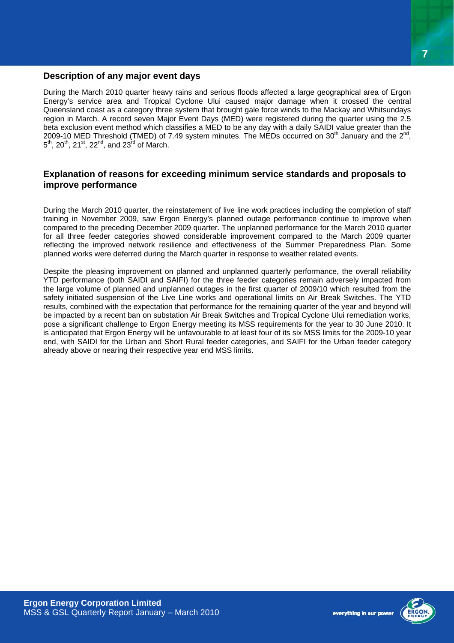#### **Description of any major event days**

During the March 2010 quarter heavy rains and serious floods affected a large geographical area of Ergon Energy's service area and Tropical Cyclone Ului caused major damage when it crossed the central Queensland coast as a category three system that brought gale force winds to the Mackay and Whitsundays region in March. A record seven Major Event Days (MED) were registered during the quarter using the 2.5 beta exclusion event method which classifies a MED to be any day with a daily SAIDI value greater than the 2009-10 MED Threshold (TMED) of 7.49 system minutes. The MEDs occurred on 30<sup>th</sup> January and the  $2^{nd}$ ,  $5^{th}$ ,  $20^{th}$ ,  $21^{st}$ ,  $22^{nd}$ , and  $23^{rd}$  of March.

#### **Explanation of reasons for exceeding minimum service standards and proposals to improve performance**

During the March 2010 quarter, the reinstatement of live line work practices including the completion of staff training in November 2009, saw Ergon Energy's planned outage performance continue to improve when compared to the preceding December 2009 quarter. The unplanned performance for the March 2010 quarter for all three feeder categories showed considerable improvement compared to the March 2009 quarter reflecting the improved network resilience and effectiveness of the Summer Preparedness Plan. Some planned works were deferred during the March quarter in response to weather related events.

Despite the pleasing improvement on planned and unplanned quarterly performance, the overall reliability YTD performance (both SAIDI and SAIFI) for the three feeder categories remain adversely impacted from the large volume of planned and unplanned outages in the first quarter of 2009/10 which resulted from the safety initiated suspension of the Live Line works and operational limits on Air Break Switches. The YTD results, combined with the expectation that performance for the remaining quarter of the year and beyond will be impacted by a recent ban on substation Air Break Switches and Tropical Cyclone Ului remediation works, pose a significant challenge to Ergon Energy meeting its MSS requirements for the year to 30 June 2010. It is anticipated that Ergon Energy will be unfavourable to at least four of its six MSS limits for the 2009-10 year end, with SAIDI for the Urban and Short Rural feeder categories, and SAIFI for the Urban feeder category already above or nearing their respective year end MSS limits.



everything in our power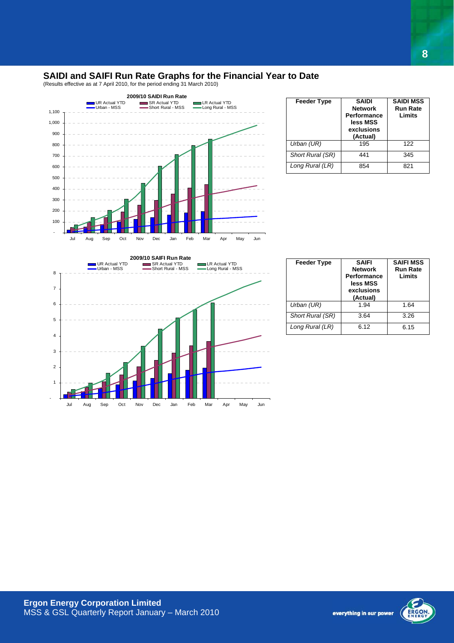#### **SAIDI and SAIFI Run Rate Graphs for the Financial Year to Date**

(Results effective as at 7 April 2010, for the period ending 31 March 2010)



| <b>Feeder Type</b> | <b>SAIDI</b><br><b>Network</b><br><b>Performance</b><br>less MSS<br>exclusions<br>(Actual) | <b>SAIDI MSS</b><br><b>Run Rate</b><br>Limits |
|--------------------|--------------------------------------------------------------------------------------------|-----------------------------------------------|
| Urban (UR)         | 195                                                                                        | 122                                           |
| Short Rural (SR)   | 441                                                                                        | 345                                           |
| Long Rural (LR)    | 854                                                                                        | 821                                           |



| <b>Feeder Type</b> | <b>SAIFI</b><br><b>Network</b><br><b>Performance</b><br>less MSS<br>exclusions<br>(Actual) | <b>SAIFI MSS</b><br><b>Run Rate</b><br>Limits |
|--------------------|--------------------------------------------------------------------------------------------|-----------------------------------------------|
| Urban (UR)         | 1.94                                                                                       | 1.64                                          |
| Short Rural (SR)   | 3.64                                                                                       | 3.26                                          |
| Long Rural (LR)    | 6.12                                                                                       | 6.15                                          |

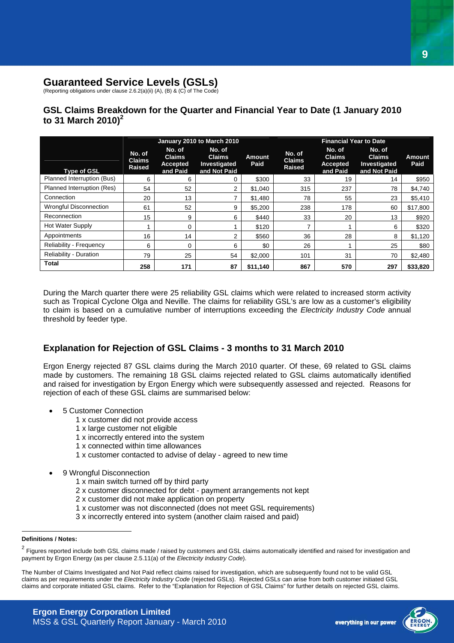#### **Guaranteed Service Levels (GSLs)**

(Reporting obligations under clause 2.6.2(a)(ii) (A), (B) & (C) of The Code)

#### **GSL Claims Breakdown for the Quarter and Financial Year to Date (1 January 2010 to 31 March 2010)<sup>2</sup>**

|                               | January 2010 to March 2010               |                                                 |                                                         |                       | <b>Financial Year to Date</b>            |                                                        |                                                         |                       |
|-------------------------------|------------------------------------------|-------------------------------------------------|---------------------------------------------------------|-----------------------|------------------------------------------|--------------------------------------------------------|---------------------------------------------------------|-----------------------|
| <b>Type of GSL</b>            | No. of<br><b>Claims</b><br><b>Raised</b> | No. of<br><b>Claims</b><br>Accepted<br>and Paid | No. of<br><b>Claims</b><br>Investigated<br>and Not Paid | <b>Amount</b><br>Paid | No. of<br><b>Claims</b><br><b>Raised</b> | No. of<br><b>Claims</b><br><b>Accepted</b><br>and Paid | No. of<br><b>Claims</b><br>Investigated<br>and Not Paid | <b>Amount</b><br>Paid |
| Planned Interruption (Bus)    | 6                                        | 6                                               | 0                                                       | \$300                 | 33                                       | 19                                                     | 14                                                      | \$950                 |
| Planned Interruption (Res)    | 54                                       | 52                                              | 2                                                       | \$1,040               | 315                                      | 237                                                    | 78                                                      | \$4,740               |
| Connection                    | 20                                       | 13                                              | 7                                                       | \$1,480               | 78                                       | 55                                                     | 23                                                      | \$5,410               |
| <b>Wrongful Disconnection</b> | 61                                       | 52                                              | 9                                                       | \$5,200               | 238                                      | 178                                                    | 60                                                      | \$17,800              |
| Reconnection                  | 15                                       | 9                                               | 6                                                       | \$440                 | 33                                       | 20                                                     | 13                                                      | \$920                 |
| Hot Water Supply              |                                          | 0                                               |                                                         | \$120                 |                                          |                                                        | 6                                                       | \$320                 |
| Appointments                  | 16                                       | 14                                              | 2                                                       | \$560                 | 36                                       | 28                                                     | 8                                                       | \$1,120               |
| Reliability - Frequency       | 6                                        | 0                                               | 6                                                       | \$0                   | 26                                       |                                                        | 25                                                      | \$80                  |
| Reliability - Duration        | 79                                       | 25                                              | 54                                                      | \$2,000               | 101                                      | 31                                                     | 70                                                      | \$2.480               |
| <b>Total</b>                  | 258                                      | 171                                             | 87                                                      | \$11,140              | 867                                      | 570                                                    | 297                                                     | \$33,820              |

During the March quarter there were 25 reliability GSL claims which were related to increased storm activity such as Tropical Cyclone Olga and Neville. The claims for reliability GSL's are low as a customer's eligibility to claim is based on a cumulative number of interruptions exceeding the *Electricity Industry Code* annual threshold by feeder type.

#### **Explanation for Rejection of GSL Claims - 3 months to 31 March 2010**

Ergon Energy rejected 87 GSL claims during the March 2010 quarter. Of these, 69 related to GSL claims made by customers. The remaining 18 GSL claims rejected related to GSL claims automatically identified and raised for investigation by Ergon Energy which were subsequently assessed and rejected. Reasons for rejection of each of these GSL claims are summarised below:

- 5 Customer Connection
	- 1 x customer did not provide access
	- 1 x large customer not eligible
	- 1 x incorrectly entered into the system
	- 1 x connected within time allowances
	- 1 x customer contacted to advise of delay agreed to new time
- 9 Wrongful Disconnection
	- 1 x main switch turned off by third party
	- 2 x customer disconnected for debt payment arrangements not kept
	- 2 x customer did not make application on property
	- 1 x customer was not disconnected (does not meet GSL requirements)
	- 3 x incorrectly entered into system (another claim raised and paid)

 $\overline{a}$ 



**Definitions / Notes:** 

<sup>&</sup>lt;sup>2</sup> Figures reported include both GSL claims made / raised by customers and GSL claims automatically identified and raised for investigation and payment by Ergon Energy (as per clause 2.5.11(a) of the *Electricity Industry Code*).

The Number of Claims Investigated and Not Paid reflect claims raised for investigation, which are subsequently found not to be valid GSL claims as per requirements under the *Electricity Industry Code* (rejected GSLs). Rejected GSLs can arise from both customer initiated GSL claims and corporate initiated GSL claims. Refer to the "Explanation for Rejection of GSL Claims" for further details on rejected GSL claims.